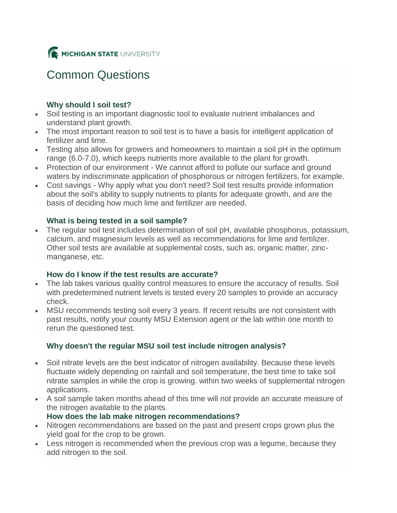

# Common Questions

# **Why should I soil test?**

- Soil testing is an important diagnostic tool to evaluate nutrient imbalances and understand plant growth.
- The most important reason to soil test is to have a basis for intelligent application of fertilizer and lime.
- Testing also allows for growers and homeowners to maintain a soil pH in the optimum range (6.0-7.0), which keeps nutrients more available to the plant for growth.
- Protection of our environment We cannot afford to pollute our surface and ground waters by indiscriminate application of phosphorous or nitrogen fertilizers, for example.
- Cost savings Why apply what you don't need? Soil test results provide information about the soil's ability to supply nutrients to plants for adequate growth, and are the basis of deciding how much lime and fertilizer are needed.

## **What is being tested in a soil sample?**

 The regular soil test includes determination of soil pH, available phosphorus, potassium, calcium, and magnesium levels as well as recommendations for lime and fertilizer. Other soil tests are available at supplemental costs, such as, organic matter, zincmanganese, etc.

## **How do I know if the test results are accurate?**

- The lab takes various quality control measures to ensure the accuracy of results. Soil with predetermined nutrient levels is tested every 20 samples to provide an accuracy check.
- MSU recommends testing soil every 3 years. If recent results are not consistent with past results, notify your county MSU Extension agent or the lab within one month to rerun the questioned test.

# **Why doesn't the regular MSU soil test include nitrogen analysis?**

- Soil nitrate levels are the best indicator of nitrogen availability. Because these levels fluctuate widely depending on rainfall and soil temperature, the best time to take soil nitrate samples in while the crop is growing. within two weeks of supplemental nitrogen applications.
- A soil sample taken months ahead of this time will not provide an accurate measure of the nitrogen available to the plants.

## **How does the lab make nitrogen recommendations?**

- Nitrogen recommendations are based on the past and present crops grown plus the yield goal for the crop to be grown.
- Less nitrogen is recommended when the previous crop was a legume, because they add nitrogen to the soil.